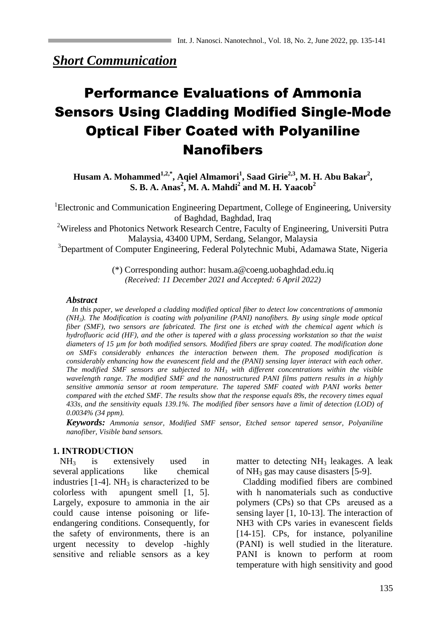*Short Communication*

# Performance Evaluations of Ammonia Sensors Using Cladding Modified Single-Mode Optical Fiber Coated with Polyaniline Nanofibers

**Husam A. Mohammed1,2,\*, Aqiel Almamori<sup>1</sup> , Saad Girie2,3 , M. H. Abu Bakar<sup>2</sup> , S. B. A. Anas<sup>2</sup> , M. A. Mahdi<sup>2</sup> and M. H. Yaacob<sup>2</sup>**

<sup>1</sup>Electronic and Communication Engineering Department, College of Engineering, University of Baghdad, Baghdad, Iraq

<sup>2</sup>Wireless and Photonics Network Research Centre, Faculty of Engineering, Universiti Putra Malaysia, 43400 UPM, Serdang, Selangor, Malaysia

<sup>3</sup>Department of Computer Engineering, Federal Polytechnic Mubi, Adamawa State, Nigeria

(\*) Corresponding author: husam.a@coeng.uobaghdad.edu.iq *(Received: 11 December 2021 and Accepted: 6 April 2022)*

#### *Abstract*

 *In this paper, we developed a cladding modified optical fiber to detect low concentrations of ammonia (NH3). The Modification is coating with polyaniline (PANI) nanofibers. By using single mode optical fiber (SMF), two sensors are fabricated. The first one is etched with the chemical agent which is hydrofluoric acid (HF), and the other is tapered with a glass processing workstation so that the waist diameters of 15 µm for both modified sensors. Modified fibers are spray coated. The modification done on SMFs considerably enhances the interaction between them. The proposed modification is considerably enhancing how the evanescent field and the (PANI) sensing layer interact with each other. The modified SMF sensors are subjected to NH<sup>3</sup> with different concentrations within the visible wavelength range. The modified SMF and the nanostructured PANI films pattern results in a highly sensitive ammonia sensor at room temperature. The tapered SMF coated with PANI works better compared with the etched SMF. The results show that the response equals 89s, the recovery times equal 433s, and the sensitivity equals 139.1%. The modified fiber sensors have a limit of detection (LOD) of 0.0034% (34 ppm).*

*Keywords: Ammonia sensor, Modified SMF sensor, Etched sensor tapered sensor, Polyaniline nanofiber, Visible band sensors.*

## **1. INTRODUCTION**

 $NH<sub>3</sub>$  is extensively used in several applications like chemical industries  $[1-4]$ . NH<sub>3</sub> is characterized to be colorless with apungent smell  $[1, 5]$ . Largely, exposure to ammonia in the air could cause intense poisoning or lifeendangering conditions. Consequently, for the safety of environments, there is an urgent necessity to develop -highly sensitive and reliable sensors as a key matter to detecting  $NH<sub>3</sub>$  leakages. A leak of  $NH_3$  gas may cause disasters [5-9].

 Cladding modified fibers are combined with h nanomaterials such as conductive polymers (CPs) so that CPs are used as a sensing layer [1, 10-13]. The interaction of NH3 with CPs varies in evanescent fields [14-15]. CPs, for instance, polyaniline (PANI) is well studied in the literature. PANI is known to perform at room temperature with high sensitivity and good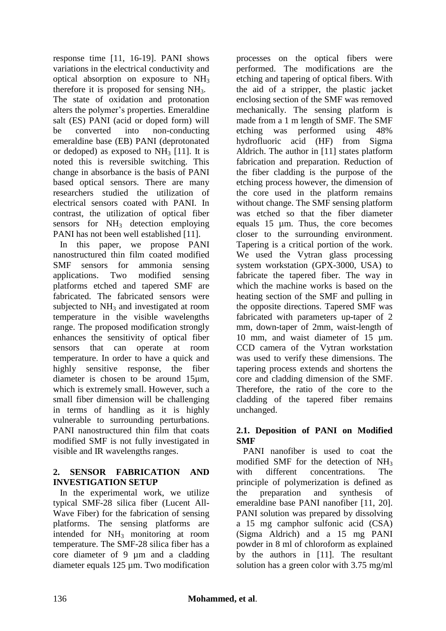response time [11, 16-19]. PANI shows variations in the electrical conductivity and optical absorption on exposure to NH<sup>3</sup> therefore it is proposed for sensing NH3. The state of oxidation and protonation alters the polymer's properties. Emeraldine salt (ES) PANI (acid or doped form) will be converted into non-conducting emeraldine base (EB) PANI (deprotonated or dedoped) as exposed to  $NH<sub>3</sub>$  [11]. It is noted this is reversible switching. This change in absorbance is the basis of PANI based optical sensors. There are many researchers studied the utilization of electrical sensors coated with PANI. In contrast, the utilization of optical fiber sensors for  $NH<sub>3</sub>$  detection employing PANI has not been well established [11].

 In this paper, we propose PANI nanostructured thin film coated modified SMF sensors for ammonia sensing applications. Two modified sensing platforms etched and tapered SMF are fabricated. The fabricated sensors were subjected to  $NH<sub>3</sub>$  and investigated at room temperature in the visible wavelengths range. The proposed modification strongly enhances the sensitivity of optical fiber sensors that can operate at room temperature. In order to have a quick and highly sensitive response, the fiber diameter is chosen to be around 15µm, which is extremely small. However, such a small fiber dimension will be challenging in terms of handling as it is highly vulnerable to surrounding perturbations. PANI nanostructured thin film that coats modified SMF is not fully investigated in visible and IR wavelengths ranges.

## **2. SENSOR FABRICATION AND INVESTIGATION SETUP**

 In the experimental work, we utilize typical SMF-28 silica fiber (Lucent All-Wave Fiber) for the fabrication of sensing platforms. The sensing platforms are intended for NH<sup>3</sup> monitoring at room temperature. The SMF-28 silica fiber has a core diameter of 9 µm and a cladding diameter equals 125 µm. Two modification processes on the optical fibers were performed. The modifications are the etching and tapering of optical fibers. With the aid of a stripper, the plastic jacket enclosing section of the SMF was removed mechanically. The sensing platform is made from a 1 m length of SMF. The SMF etching was performed using 48% hydrofluoric acid (HF) from Sigma Aldrich. The author in [11] states platform fabrication and preparation. Reduction of the fiber cladding is the purpose of the etching process however, the dimension of the core used in the platform remains without change. The SMF sensing platform was etched so that the fiber diameter equals 15 µm. Thus, the core becomes closer to the surrounding environment. Tapering is a critical portion of the work. We used the Vytran glass processing system workstation (GPX-3000, USA) to fabricate the tapered fiber. The way in which the machine works is based on the heating section of the SMF and pulling in the opposite directions. Tapered SMF was fabricated with parameters up-taper of 2 mm, down-taper of 2mm, waist-length of 10 mm, and waist diameter of 15 µm. CCD camera of the Vytran workstation was used to verify these dimensions. The tapering process extends and shortens the core and cladding dimension of the SMF. Therefore, the ratio of the core to the cladding of the tapered fiber remains unchanged.

## **2.1. Deposition of PANI on Modified SMF**

 PANI nanofiber is used to coat the modified SMF for the detection of  $NH<sub>3</sub>$ with different concentrations. The principle of polymerization is defined as the preparation and synthesis of emeraldine base PANI nanofiber [11, 20]. PANI solution was prepared by dissolving a 15 mg camphor sulfonic acid (CSA) (Sigma Aldrich) and a 15 mg PANI powder in 8 ml of chloroform as explained by the authors in [11]. The resultant solution has a green color with 3.75 mg/ml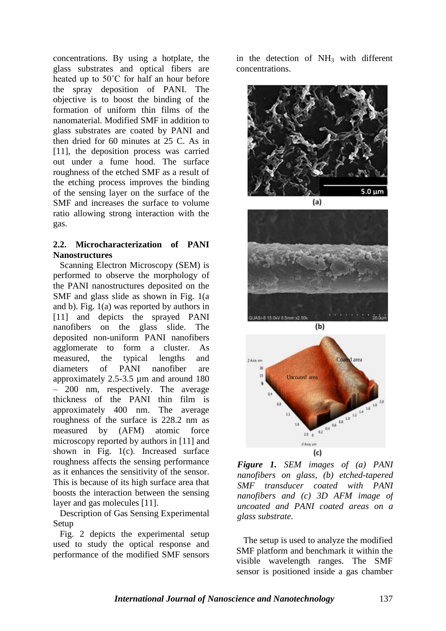concentrations. By using a hotplate, the glass substrates and optical fibers are heated up to 50˚C for half an hour before the spray deposition of PANI. The objective is to boost the binding of the formation of uniform thin films of the nanomaterial. Modified SMF in addition to glass substrates are coated by PANI and then dried for 60 minutes at 25 C. As in [11], the deposition process was carried out under a fume hood. The surface roughness of the etched SMF as a result of the etching process improves the binding of the sensing layer on the surface of the SMF and increases the surface to volume ratio allowing strong interaction with the gas.

## **2.2. Microcharacterization of PANI Nanostructures**

 Scanning Electron Microscopy (SEM) is performed to observe the morphology of the PANI nanostructures deposited on the SMF and glass slide as shown in Fig. 1(a and b). Fig. 1(a) was reported by authors in [11] and depicts the sprayed PANI nanofibers on the glass slide. The deposited non-uniform PANI nanofibers agglomerate to form a cluster. As measured, the typical lengths and diameters of PANI nanofiber are approximately 2.5-3.5 µm and around 180 – 200 nm, respectively. The average thickness of the PANI thin film is approximately 400 nm. The average roughness of the surface is 228.2 nm as measured by (AFM) atomic force microscopy reported by authors in [11] and shown in Fig. 1(c). Increased surface roughness affects the sensing performance as it enhances the sensitivity of the sensor. This is because of its high surface area that boosts the interaction between the sensing layer and gas molecules [11].

 Description of Gas Sensing Experimental Setup

 Fig. 2 depicts the experimental setup used to study the optical response and performance of the modified SMF sensors

in the detection of  $NH<sub>3</sub>$  with different concentrations.







*Figure 1. SEM images of (a) PANI nanofibers on glass, (b) etched-tapered SMF transducer coated with PANI nanofibers and (c) 3D AFM image of uncoated and PANI coated areas on a glass substrate.*

 The setup is used to analyze the modified SMF platform and benchmark it within the visible wavelength ranges. The SMF sensor is positioned inside a gas chamber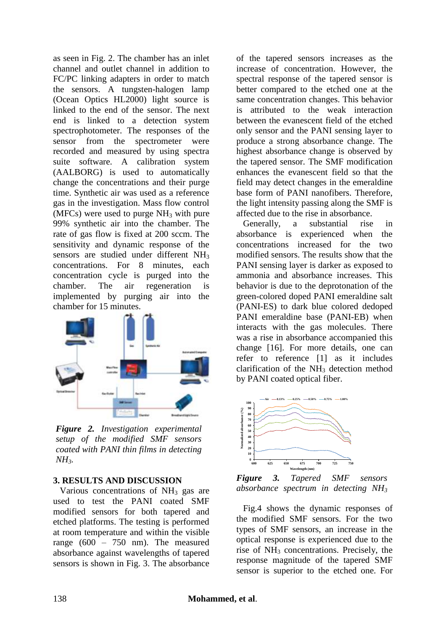as seen in Fig. 2. The chamber has an inlet channel and outlet channel in addition to FC/PC linking adapters in order to match the sensors. A tungsten-halogen lamp (Ocean Optics HL2000) light source is linked to the end of the sensor. The next end is linked to a detection system spectrophotometer. The responses of the sensor from the spectrometer were recorded and measured by using spectra suite software. A calibration system (AALBORG) is used to automatically change the concentrations and their purge time. Synthetic air was used as a reference gas in the investigation. Mass flow control (MFCs) were used to purge  $NH<sub>3</sub>$  with pure 99% synthetic air into the chamber. The rate of gas flow is fixed at 200 sccm. The sensitivity and dynamic response of the sensors are studied under different NH<sub>3</sub> concentrations. For 8 minutes, each concentration cycle is purged into the chamber. The air regeneration is implemented by purging air into the chamber for 15 minutes.



*Figure 2. Investigation experimental setup of the modified SMF sensors coated with PANI thin films in detecting*   $NH_3$ *.* **0**<sup>1</sup><sub>6</sub>

#### **3. RESULTS AND DISCUSSION**

Various concentrations of  $NH<sub>3</sub>$  gas are used to test the PANI coated SMF modified sensors for both tapered and etched platforms. The testing is performed at room temperature and within the visible range (600 – 750 nm). The measured absorbance against wavelengths of tapered sensors is shown in Fig. 3. The absorbance

of the tapered sensors increases as the increase of concentration. However, the spectral response of the tapered sensor is better compared to the etched one at the same concentration changes. This behavior is attributed to the weak interaction between the evanescent field of the etched only sensor and the PANI sensing layer to produce a strong absorbance change. The highest absorbance change is observed by the tapered sensor. The SMF modification enhances the evanescent field so that the field may detect changes in the emeraldine base form of PANI nanofibers. Therefore, the light intensity passing along the SMF is affected due to the rise in absorbance.

 Generally, a substantial rise in absorbance is experienced when the concentrations increased for the two modified sensors. The results show that the PANI sensing layer is darker as exposed to ammonia and absorbance increases. This behavior is due to the deprotonation of the green-colored doped PANI emeraldine salt (PANI-ES) to dark blue colored dedoped PANI emeraldine base (PANI-EB) when interacts with the gas molecules. There was a rise in absorbance accompanied this change [16]. For more details, one can refer to reference [1] as it includes clarification of the  $NH<sub>3</sub>$  detection method by PANI coated optical fiber.



*Figure 3. Tapered SMF sensors absorbance spectrum in detecting NH<sup>3</sup>*

 Fig.4 shows the dynamic responses of the modified SMF sensors. For the two types of SMF sensors, an increase in the optical response is experienced due to the rise of NH<sub>3</sub> concentrations. Precisely, the response magnitude of the tapered SMF sensor is superior to the etched one. For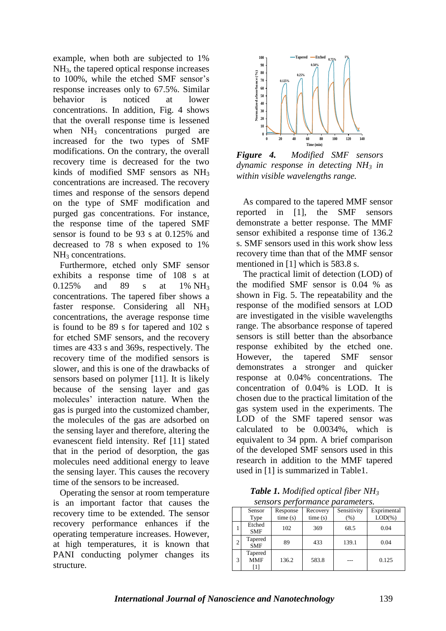example, when both are subjected to 1% NH3, the tapered optical response increases to 100%, while the etched SMF sensor's response increases only to 67.5%. Similar behavior is noticed at lower concentrations. In addition, Fig. 4 shows that the overall response time is lessened when  $NH<sub>3</sub>$  concentrations purged are increased for the two types of SMF modifications. On the contrary, the overall recovery time is decreased for the two kinds of modified SMF sensors as NH<sup>3</sup> concentrations are increased. The recovery times and response of the sensors depend on the type of SMF modification and purged gas concentrations. For instance, the response time of the tapered SMF sensor is found to be 93 s at 0.125% and decreased to 78 s when exposed to 1% NH<sub>3</sub> concentrations.

 Furthermore, etched only SMF sensor exhibits a response time of 108 s at 0.125% and 89 s at 1% NH<sup>3</sup> concentrations. The tapered fiber shows a faster response. Considering all NH<sub>3</sub> concentrations, the average response time is found to be 89 s for tapered and 102 s for etched SMF sensors, and the recovery times are 433 s and 369s, respectively. The recovery time of the modified sensors is slower, and this is one of the drawbacks of sensors based on polymer [11]. It is likely because of the sensing layer and gas molecules' interaction nature. When the gas is purged into the customized chamber, the molecules of the gas are adsorbed on the sensing layer and therefore, altering the evanescent field intensity. Ref [11] stated that in the period of desorption, the gas molecules need additional energy to leave the sensing layer. This causes the recovery time of the sensors to be increased.

 Operating the sensor at room temperature is an important factor that causes the recovery time to be extended. The sensor recovery performance enhances if the operating temperature increases. However, at high temperatures, it is known that PANI conducting polymer changes its structure.



*Figure 4. Modified SMF sensors dynamic response in detecting NH<sup>3</sup> in within visible wavelengths range.*

 As compared to the tapered MMF sensor reported in [1], the SMF sensors demonstrate a better response. The MMF sensor exhibited a response time of 136.2 s. SMF sensors used in this work show less recovery time than that of the MMF sensor mentioned in [1] which is 583.8 s.

 The practical limit of detection (LOD) of the modified SMF sensor is 0.04 % as shown in Fig. 5. The repeatability and the response of the modified sensors at LOD are investigated in the visible wavelengths range. The absorbance response of tapered sensors is still better than the absorbance response exhibited by the etched one. However, the tapered SMF sensor demonstrates a stronger and quicker response at 0.04% concentrations. The concentration of 0.04% is LOD. It is chosen due to the practical limitation of the gas system used in the experiments. The LOD of the SMF tapered sensor was calculated to be 0.0034%, which is equivalent to 34 ppm. A brief comparison of the developed SMF sensors used in this research in addition to the MMF tapered used in [1] is summarized in Table1.

*Table 1. Modified optical fiber NH<sup>3</sup> sensors performance parameters.*

|   | Sensor                       | Response | Recovery | Sensitivity | Exprimental |
|---|------------------------------|----------|----------|-------------|-------------|
|   | Type                         | time(s)  | time(s)  | (% )        | $LOD(\% )$  |
|   | Etched<br><b>SMF</b>         | 102      | 369      | 68.5        | 0.04        |
| 2 | Tapered<br><b>SMF</b>        | 89       | 433      | 139.1       | 0.04        |
| 3 | Tapered<br><b>MMF</b><br>[1] | 136.2    | 583.8    | ---         | 0.125       |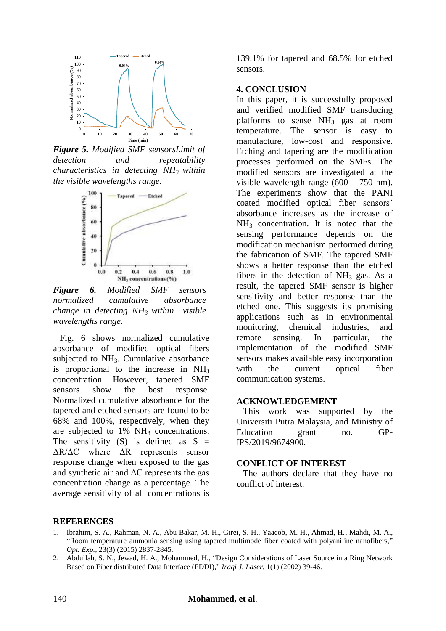

*Figure 5. Modified SMF sensorsLimit of detection and repeatability characteristics in detecting NH<sup>3</sup> within the visible wavelengths range.*



*Figure 6. Modified SMF sensors normalized cumulative absorbance change in detecting NH<sup>3</sup> within visible wavelengths range.*

 Fig. 6 shows normalized cumulative absorbance of modified optical fibers subjected to  $NH<sub>3</sub>$ . Cumulative absorbance is proportional to the increase in  $NH<sub>3</sub>$ concentration. However, tapered SMF sensors show the best response. Normalized cumulative absorbance for the tapered and etched sensors are found to be 68% and 100%, respectively, when they are subjected to  $1\%$  NH<sub>3</sub> concentrations. The sensitivity  $(S)$  is defined as  $S =$ ΔR/ΔC where ΔR represents sensor response change when exposed to the gas and synthetic air and  $\Delta C$  represents the gas concentration change as a percentage. The average sensitivity of all concentrations is

139.1% for tapered and 68.5% for etched sensors.

### **4. CONCLUSION**

In this paper, it is successfully proposed and verified modified SMF transducing platforms to sense NH<sup>3</sup> gas at room temperature. The sensor is easy to manufacture, low-cost and responsive. Etching and tapering are the modification processes performed on the SMFs. The modified sensors are investigated at the visible wavelength range (600 – 750 nm). The experiments show that the PANI coated modified optical fiber sensors' absorbance increases as the increase of  $NH<sub>3</sub>$  concentration. It is noted that the sensing performance depends on the modification mechanism performed during the fabrication of SMF. The tapered SMF shows a better response than the etched fibers in the detection of  $NH<sub>3</sub>$  gas. As a result, the tapered SMF sensor is higher sensitivity and better response than the etched one. This suggests its promising applications such as in environmental monitoring, chemical industries, and remote sensing. In particular, the implementation of the modified SMF sensors makes available easy incorporation with the current optical fiber communication systems.

#### **ACKNOWLEDGEMENT**

 This work was supported by the Universiti Putra Malaysia, and Ministry of Education grant no. GP-IPS/2019/9674900.

#### **CONFLICT OF INTEREST**

 The authors declare that they have no conflict of interest.

#### **REFERENCES**

- 1. Ibrahim, S. A., Rahman, N. A., Abu Bakar, M. H., Girei, S. H., Yaacob, M. H., Ahmad, H., Mahdi, M. A., "Room temperature ammonia sensing using tapered multimode fiber coated with polyaniline nanofibers," *Opt. Exp.,* 23(3) (2015) 2837-2845.
- 2. Abdullah, S. N., Jewad, H. A., Mohammed, H., "Design Considerations of Laser Source in a Ring Network Based on Fiber distributed Data Interface (FDDI)," *Iraqi J. Laser,* 1(1) (2002) 39-46.